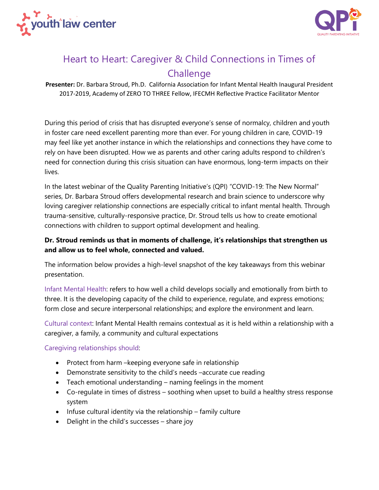



# Heart to Heart: Caregiver & Child Connections in Times of **Challenge**

**Presenter:** Dr. Barbara Stroud, Ph.D. California Association for Infant Mental Health Inaugural President 2017-2019, Academy of ZERO TO THREE Fellow, IFECMH Reflective Practice Facilitator Mentor

During this period of crisis that has disrupted everyone's sense of normalcy, children and youth in foster care need excellent parenting more than ever. For young children in care, COVID-19 may feel like yet another instance in which the relationships and connections they have come to rely on have been disrupted. How we as parents and other caring adults respond to children's need for connection during this crisis situation can have enormous, long-term impacts on their lives.

In the latest webinar of the Quality Parenting Initiative's (QPI) "COVID-19: The New Normal" series, Dr. Barbara Stroud offers developmental research and brain science to underscore why loving caregiver relationship connections are especially critical to infant mental health. Through trauma-sensitive, culturally-responsive practice, Dr. Stroud tells us how to create emotional connections with children to support optimal development and healing.

# **Dr. Stroud reminds us that in moments of challenge, it's relationships that strengthen us and allow us to feel whole, connected and valued.**

The information below provides a high-level snapshot of the key takeaways from this webinar presentation.

Infant Mental Health: refers to how well a child develops socially and emotionally from birth to three. It is the developing capacity of the child to experience, regulate, and express emotions; form close and secure interpersonal relationships; and explore the environment and learn.

Cultural context: Infant Mental Health remains contextual as it is held within a relationship with a caregiver, a family, a community and cultural expectations

Caregiving relationships should:

- Protect from harm –keeping everyone safe in relationship
- Demonstrate sensitivity to the child's needs –accurate cue reading
- Teach emotional understanding naming feelings in the moment
- Co-regulate in times of distress soothing when upset to build a healthy stress response system
- Infuse cultural identity via the relationship family culture
- Delight in the child's successes share joy